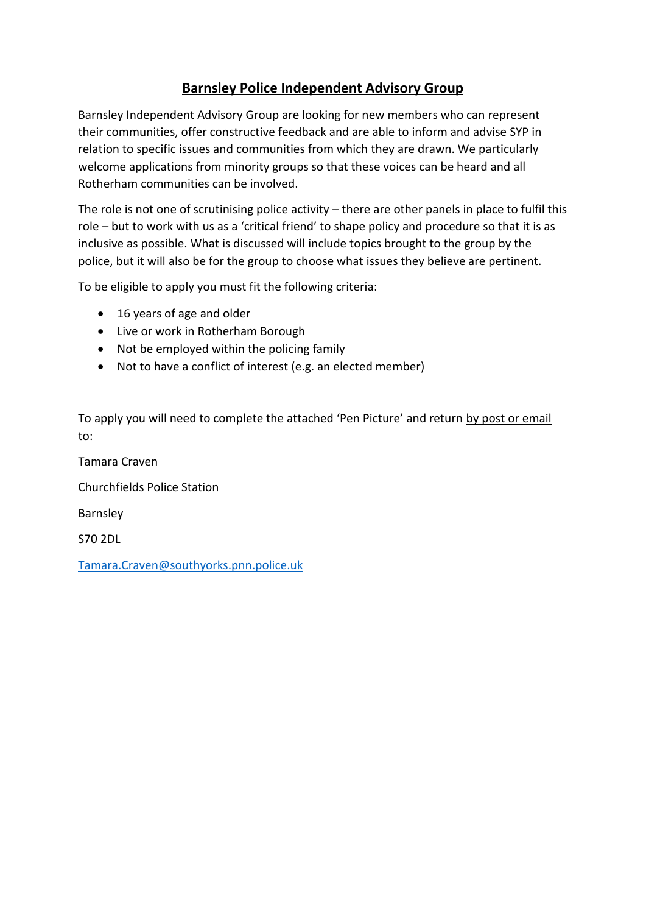## **Barnsley Police Independent Advisory Group**

Barnsley Independent Advisory Group are looking for new members who can represent their communities, offer constructive feedback and are able to inform and advise SYP in relation to specific issues and communities from which they are drawn. We particularly welcome applications from minority groups so that these voices can be heard and all Rotherham communities can be involved.

The role is not one of scrutinising police activity – there are other panels in place to fulfil this role – but to work with us as a 'critical friend' to shape policy and procedure so that it is as inclusive as possible. What is discussed will include topics brought to the group by the police, but it will also be for the group to choose what issues they believe are pertinent.

To be eligible to apply you must fit the following criteria:

- 16 years of age and older
- Live or work in Rotherham Borough
- Not be employed within the policing family
- Not to have a conflict of interest (e.g. an elected member)

To apply you will need to complete the attached 'Pen Picture' and return by post or email to:

Tamara Craven Churchfields Police Station Barnsley S70 2DL [Tamara.Craven@southyorks.pnn.police.uk](mailto:Tamara.Craven@southyorks.pnn.police.uk)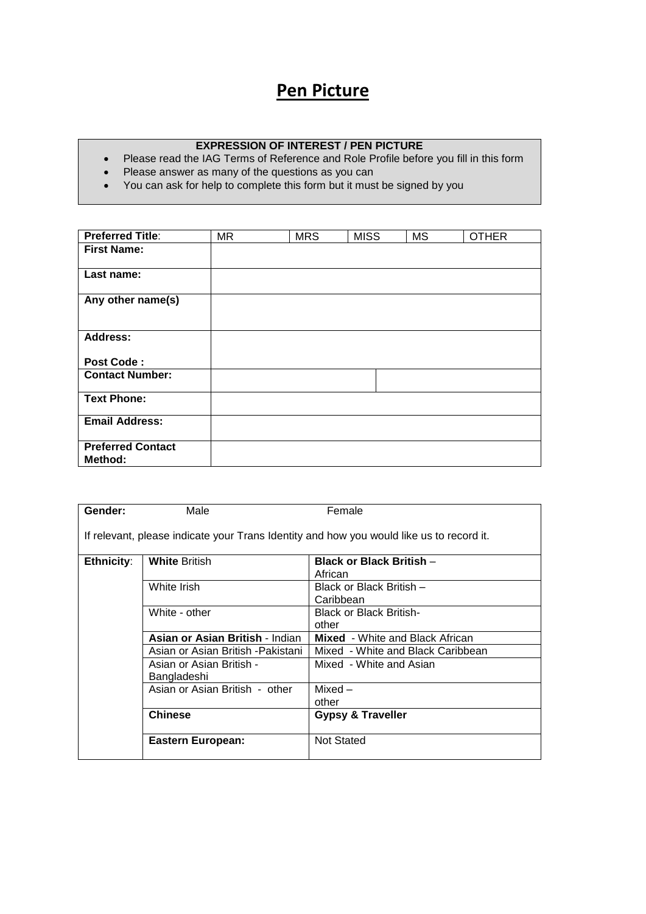## **Pen Picture**

## **EXPRESSION OF INTEREST / PEN PICTURE**

- Please read the IAG Terms of Reference and Role Profile before you fill in this form
- Please answer as many of the questions as you can
- You can ask for help to complete this form but it must be signed by you

| <b>Preferred Title:</b>             | <b>MR</b> | <b>MRS</b> | <b>MISS</b> | <b>MS</b> | <b>OTHER</b> |
|-------------------------------------|-----------|------------|-------------|-----------|--------------|
| <b>First Name:</b>                  |           |            |             |           |              |
| Last name:                          |           |            |             |           |              |
| Any other name(s)                   |           |            |             |           |              |
| <b>Address:</b>                     |           |            |             |           |              |
| <b>Post Code:</b>                   |           |            |             |           |              |
| <b>Contact Number:</b>              |           |            |             |           |              |
| <b>Text Phone:</b>                  |           |            |             |           |              |
| <b>Email Address:</b>               |           |            |             |           |              |
| <b>Preferred Contact</b><br>Method: |           |            |             |           |              |

| Gender:                                                                                  | Male                                    | Female                                     |  |  |  |
|------------------------------------------------------------------------------------------|-----------------------------------------|--------------------------------------------|--|--|--|
| If relevant, please indicate your Trans Identity and how you would like us to record it. |                                         |                                            |  |  |  |
| Ethnicity:                                                                               | <b>White British</b>                    | <b>Black or Black British -</b><br>African |  |  |  |
|                                                                                          | White Irish                             | Black or Black British -<br>Caribbean      |  |  |  |
|                                                                                          | White - other                           | <b>Black or Black British-</b><br>other    |  |  |  |
|                                                                                          | Asian or Asian British - Indian         | <b>Mixed</b> - White and Black African     |  |  |  |
|                                                                                          | Asian or Asian British -Pakistani       | Mixed - White and Black Caribbean          |  |  |  |
|                                                                                          | Asian or Asian British -<br>Bangladeshi | Mixed - White and Asian                    |  |  |  |
|                                                                                          | Asian or Asian British - other          | $Mixed -$<br>other                         |  |  |  |
|                                                                                          | <b>Chinese</b>                          | <b>Gypsy &amp; Traveller</b>               |  |  |  |
|                                                                                          | <b>Eastern European:</b>                | <b>Not Stated</b>                          |  |  |  |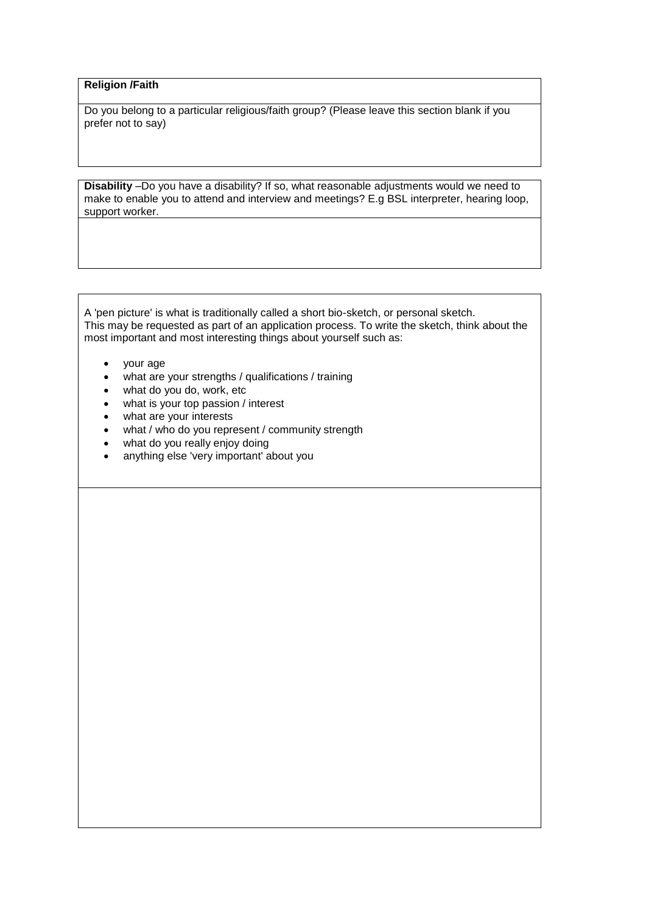## **Religion /Faith**

Do you belong to a particular religious/faith group? (Please leave this section blank if you prefer not to say)

**Disability** –Do you have a disability? If so, what reasonable adjustments would we need to make to enable you to attend and interview and meetings? E.g BSL interpreter, hearing loop, support worker.

A 'pen picture' is what is traditionally called a short bio-sketch, or personal sketch. This may be requested as part of an application process. To write the sketch, think about the most important and most interesting things about yourself such as:

- your age
- what are your strengths / qualifications / training
- what do you do, work, etc
- what is your top passion / interest
- what are your interests
- what / who do you represent / community strength
- what do you really enjoy doing
- anything else 'very important' about you